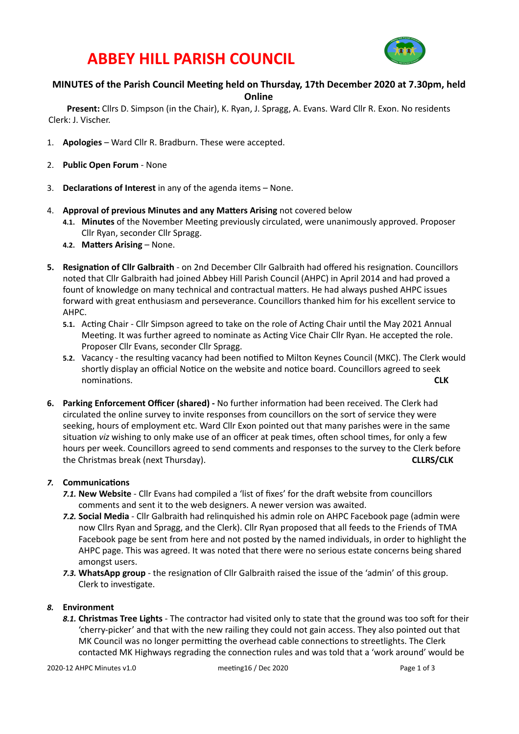### **ABBEY HILL PARISH COUNCIL**



### **MINUTES of the Parish Council Meeting held on Thursday, 17th December 2020 at 7.30pm, held Online**

Present: Cllrs D. Simpson (in the Chair), K. Ryan, J. Spragg, A. Evans. Ward Cllr R. Exon. No residents Clerk: J. Vischer.

- 1. **Apologies** Ward Cllr R. Bradburn. These were accepted.
- 2. **Public Open Forum** None
- 3. **Declarations of Interest** in any of the agenda items None.
- 4. **Approval of previous Minutes and any Matters Arising** not covered below
	- 4.1. Minutes of the November Meeting previously circulated, were unanimously approved. Proposer Cllr Ryan, seconder Cllr Spragg.
	- **4.2. Matters Arising None.**
- **5.** Resignation of Cllr Galbraith on 2nd December Cllr Galbraith had offered his resignation. Councillors noted that Cllr Galbraith had joined Abbey Hill Parish Council (AHPC) in April 2014 and had proved a fount of knowledge on many technical and contractual matters. He had always pushed AHPC issues forward with great enthusiasm and perseverance. Councillors thanked him for his excellent service to AHPC.
	- **5.1.** Acting Chair Cllr Simpson agreed to take on the role of Acting Chair until the May 2021 Annual Meeting. It was further agreed to nominate as Acting Vice Chair Cllr Ryan. He accepted the role. Proposer Cllr Evans, seconder Cllr Spragg.
	- 5.2. Vacancy the resulting vacancy had been notified to Milton Keynes Council (MKC). The Clerk would shortly display an official Notice on the website and notice board. Councillors agreed to seek nominations. **CLK**
- **6.** Parking Enforcement Officer (shared) No further information had been received. The Clerk had circulated the online survey to invite responses from councillors on the sort of service they were seeking, hours of employment etc. Ward Cllr Exon pointed out that many parishes were in the same situation *viz* wishing to only make use of an officer at peak times, often school times, for only a few hours per week. Councillors agreed to send comments and responses to the survey to the Clerk before the Christmas break (next Thursday). **Depart on the Container and CLLRS/CLK CLLRS/CLK**

### **7.** Communications

- **7.1. New Website** Cllr Evans had compiled a 'list of fixes' for the draft website from councillors comments and sent it to the web designers. A newer version was awaited.
- 7.2. Social Media Cllr Galbraith had relinquished his admin role on AHPC Facebook page (admin were now Cllrs Ryan and Spragg, and the Clerk). Cllr Ryan proposed that all feeds to the Friends of TMA Facebook page be sent from here and not posted by the named individuals, in order to highlight the AHPC page. This was agreed. It was noted that there were no serious estate concerns being shared amongst users.
- 7.3. WhatsApp group the resignation of Cllr Galbraith raised the issue of the 'admin' of this group. Clerk to investigate.

### 8. **Environment**

8.1. Christmas Tree Lights - The contractor had visited only to state that the ground was too soft for their 'cherry-picker' and that with the new railing they could not gain access. They also pointed out that MK Council was no longer permitting the overhead cable connections to streetlights. The Clerk contacted MK Highways regrading the connection rules and was told that a 'work around' would be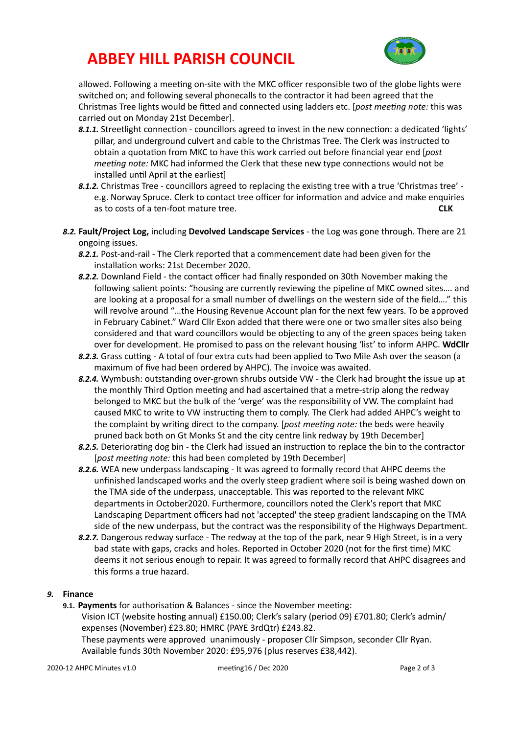# **ABBEY HILL PARISH COUNCIL**



allowed. Following a meeting on-site with the MKC officer responsible two of the globe lights were switched on; and following several phonecalls to the contractor it had been agreed that the Christmas Tree lights would be fitted and connected using ladders etc. [*post meeting note:* this was carried out on Monday 21st December].

- 8.1.1. Streetlight connection councillors agreed to invest in the new connection: a dedicated 'lights' pillar, and underground culvert and cable to the Christmas Tree. The Clerk was instructed to obtain a quotation from MKC to have this work carried out before financial year end [*post meeting note:* MKC had informed the Clerk that these new type connections would not be installed until April at the earliest]
- 8.1.2. Christmas Tree councillors agreed to replacing the existing tree with a true 'Christmas tree' e.g. Norway Spruce. Clerk to contact tree officer for information and advice and make enquiries as to costs of a ten-foot mature tree. **CLK**
- 8.2. Fault/Project Log, including Devolved Landscape Services the Log was gone through. There are 21 ongoing issues.
	- 8.2.1. Post-and-rail The Clerk reported that a commencement date had been given for the installation works: 21st December 2020.
	- 8.2.2. Downland Field the contact officer had finally responded on 30th November making the following salient points: "housing are currently reviewing the pipeline of MKC owned sites.... and are looking at a proposal for a small number of dwellings on the western side of the field...." this will revolve around "...the Housing Revenue Account plan for the next few years. To be approved in February Cabinet." Ward Cllr Exon added that there were one or two smaller sites also being considered and that ward councillors would be objecting to any of the green spaces being taken over for development. He promised to pass on the relevant housing 'list' to inform AHPC. WdCllr
	- 8.2.3. Grass cutting A total of four extra cuts had been applied to Two Mile Ash over the season (a maximum of five had been ordered by AHPC). The invoice was awaited.
	- 8.2.4. Wymbush: outstanding over-grown shrubs outside VW the Clerk had brought the issue up at the monthly Third Option meeting and had ascertained that a metre-strip along the redway belonged to MKC but the bulk of the 'verge' was the responsibility of VW. The complaint had caused MKC to write to VW instructing them to comply. The Clerk had added AHPC's weight to the complaint by writing direct to the company. [post meeting note: the beds were heavily pruned back both on Gt Monks St and the city centre link redway by 19th December]
	- 8.2.5. Deteriorating dog bin the Clerk had issued an instruction to replace the bin to the contractor [post meeting note: this had been completed by 19th December]
	- 8.2.6. WEA new underpass landscaping It was agreed to formally record that AHPC deems the unfinished landscaped works and the overly steep gradient where soil is being washed down on the TMA side of the underpass, unacceptable. This was reported to the relevant MKC departments in October2020. Furthermore, councillors noted the Clerk's report that MKC Landscaping Department officers had not 'accepted' the steep gradient landscaping on the TMA side of the new underpass, but the contract was the responsibility of the Highways Department.
	- 8.2.7. Dangerous redway surface The redway at the top of the park, near 9 High Street, is in a very bad state with gaps, cracks and holes. Reported in October 2020 (not for the first time) MKC deems it not serious enough to repair. It was agreed to formally record that AHPC disagrees and this forms a true hazard.

### 9. **Finance**

**9.1. Payments** for authorisation & Balances - since the November meeting: Vision ICT (website hosting annual) £150.00; Clerk's salary (period 09) £701.80; Clerk's admin/ expenses (November) £23.80; HMRC (PAYE 3rdQtr) £243.82. These payments were approved unanimously - proposer Cllr Simpson, seconder Cllr Ryan. Available funds 30th November 2020: £95,976 (plus reserves £38,442).